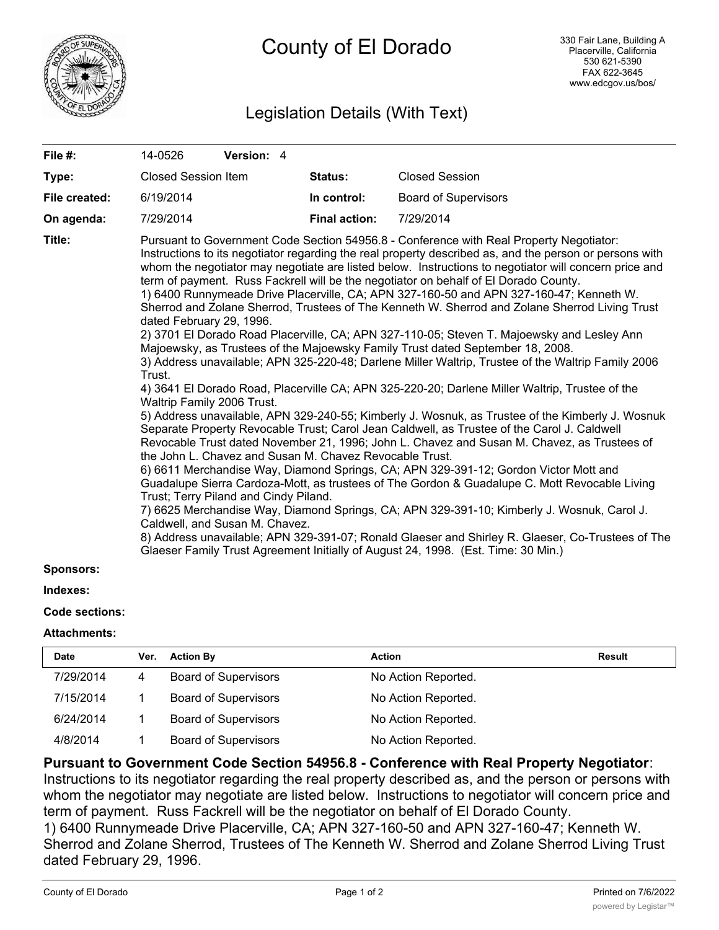

# Legislation Details (With Text)

| File #:            | 14-0526                                                                                                                                                                                                                                                                                                                                                                                                                                                                                                                                                                                                                                                                                                                                                                                                                                                                                                                                                                                                                                                                                                                                                                                                                                                                                                                                                                                                                                                                                                                                                                                                                                                                                                                                                                                                                                                                                                                                                                                                       | Version: 4 |             |                             |  |  |
|--------------------|---------------------------------------------------------------------------------------------------------------------------------------------------------------------------------------------------------------------------------------------------------------------------------------------------------------------------------------------------------------------------------------------------------------------------------------------------------------------------------------------------------------------------------------------------------------------------------------------------------------------------------------------------------------------------------------------------------------------------------------------------------------------------------------------------------------------------------------------------------------------------------------------------------------------------------------------------------------------------------------------------------------------------------------------------------------------------------------------------------------------------------------------------------------------------------------------------------------------------------------------------------------------------------------------------------------------------------------------------------------------------------------------------------------------------------------------------------------------------------------------------------------------------------------------------------------------------------------------------------------------------------------------------------------------------------------------------------------------------------------------------------------------------------------------------------------------------------------------------------------------------------------------------------------------------------------------------------------------------------------------------------------|------------|-------------|-----------------------------|--|--|
| Type:              | <b>Closed Session Item</b>                                                                                                                                                                                                                                                                                                                                                                                                                                                                                                                                                                                                                                                                                                                                                                                                                                                                                                                                                                                                                                                                                                                                                                                                                                                                                                                                                                                                                                                                                                                                                                                                                                                                                                                                                                                                                                                                                                                                                                                    |            | Status:     | <b>Closed Session</b>       |  |  |
| File created:      | 6/19/2014                                                                                                                                                                                                                                                                                                                                                                                                                                                                                                                                                                                                                                                                                                                                                                                                                                                                                                                                                                                                                                                                                                                                                                                                                                                                                                                                                                                                                                                                                                                                                                                                                                                                                                                                                                                                                                                                                                                                                                                                     |            | In control: | <b>Board of Supervisors</b> |  |  |
| On agenda:         | 7/29/2014                                                                                                                                                                                                                                                                                                                                                                                                                                                                                                                                                                                                                                                                                                                                                                                                                                                                                                                                                                                                                                                                                                                                                                                                                                                                                                                                                                                                                                                                                                                                                                                                                                                                                                                                                                                                                                                                                                                                                                                                     |            |             | 7/29/2014                   |  |  |
| Title:<br>0.000000 | <b>Final action:</b><br>Pursuant to Government Code Section 54956.8 - Conference with Real Property Negotiator:<br>Instructions to its negotiator regarding the real property described as, and the person or persons with<br>whom the negotiator may negotiate are listed below. Instructions to negotiator will concern price and<br>term of payment. Russ Fackrell will be the negotiator on behalf of El Dorado County.<br>1) 6400 Runnymeade Drive Placerville, CA; APN 327-160-50 and APN 327-160-47; Kenneth W.<br>Sherrod and Zolane Sherrod, Trustees of The Kenneth W. Sherrod and Zolane Sherrod Living Trust<br>dated February 29, 1996.<br>2) 3701 El Dorado Road Placerville, CA; APN 327-110-05; Steven T. Majoewsky and Lesley Ann<br>Majoewsky, as Trustees of the Majoewsky Family Trust dated September 18, 2008.<br>3) Address unavailable; APN 325-220-48; Darlene Miller Waltrip, Trustee of the Waltrip Family 2006<br>Trust.<br>4) 3641 El Dorado Road, Placerville CA; APN 325-220-20; Darlene Miller Waltrip, Trustee of the<br>Waltrip Family 2006 Trust.<br>5) Address unavailable, APN 329-240-55; Kimberly J. Wosnuk, as Trustee of the Kimberly J. Wosnuk<br>Separate Property Revocable Trust; Carol Jean Caldwell, as Trustee of the Carol J. Caldwell<br>Revocable Trust dated November 21, 1996; John L. Chavez and Susan M. Chavez, as Trustees of<br>the John L. Chavez and Susan M. Chavez Revocable Trust.<br>6) 6611 Merchandise Way, Diamond Springs, CA; APN 329-391-12; Gordon Victor Mott and<br>Guadalupe Sierra Cardoza-Mott, as trustees of The Gordon & Guadalupe C. Mott Revocable Living<br>Trust; Terry Piland and Cindy Piland.<br>7) 6625 Merchandise Way, Diamond Springs, CA; APN 329-391-10; Kimberly J. Wosnuk, Carol J.<br>Caldwell, and Susan M. Chavez.<br>8) Address unavailable; APN 329-391-07; Ronald Glaeser and Shirley R. Glaeser, Co-Trustees of The<br>Glaeser Family Trust Agreement Initially of August 24, 1998. (Est. Time: 30 Min.) |            |             |                             |  |  |

## **Sponsors:**

#### **Indexes:**

## **Code sections:**

#### **Attachments:**

| <b>Date</b> | Ver. | <b>Action By</b>            | Action              | <b>Result</b> |
|-------------|------|-----------------------------|---------------------|---------------|
| 7/29/2014   |      | <b>Board of Supervisors</b> | No Action Reported. |               |
| 7/15/2014   |      | <b>Board of Supervisors</b> | No Action Reported. |               |
| 6/24/2014   |      | <b>Board of Supervisors</b> | No Action Reported. |               |
| 4/8/2014    |      | <b>Board of Supervisors</b> | No Action Reported. |               |

## **Pursuant to Government Code Section 54956.8 - Conference with Real Property Negotiator**:

Instructions to its negotiator regarding the real property described as, and the person or persons with whom the negotiator may negotiate are listed below. Instructions to negotiator will concern price and term of payment. Russ Fackrell will be the negotiator on behalf of El Dorado County. 1) 6400 Runnymeade Drive Placerville, CA; APN 327-160-50 and APN 327-160-47; Kenneth W.

Sherrod and Zolane Sherrod, Trustees of The Kenneth W. Sherrod and Zolane Sherrod Living Trust dated February 29, 1996.